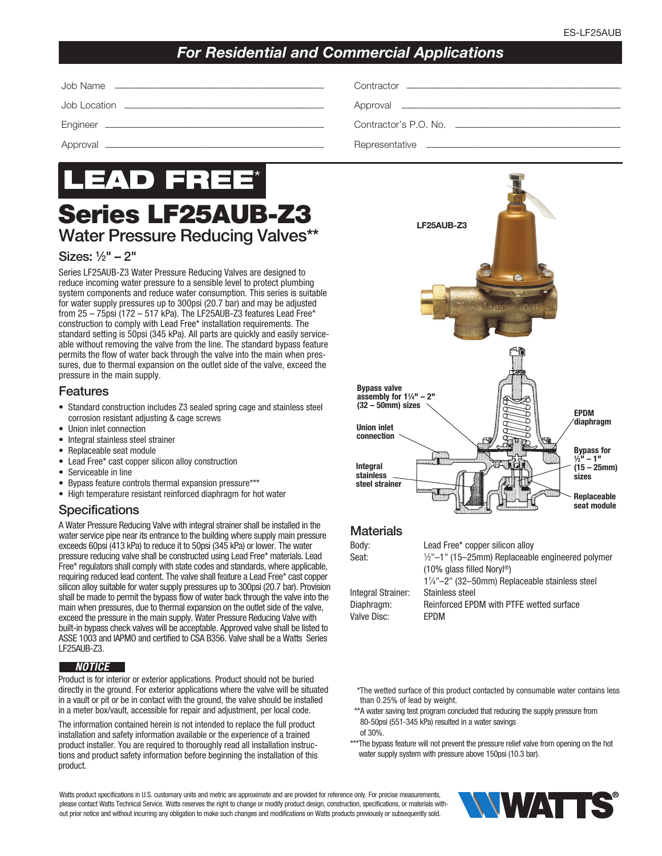# *For Residential and Commercial Applications*



# Series LF25AUB-Z3 Water Pressure Reducing Valves\*\*

### Sizes: 1⁄2" – 2"

Series LF25AUB-Z3 Water Pressure Reducing Valves are designed to reduce incoming water pressure to a sensible level to protect plumbing system components and reduce water consumption. This series is suitable for water supply pressures up to 300psi (20.7 bar) and may be adjusted from 25 – 75psi (172 – 517 kPa). The LF25AUB-Z3 features Lead Free\* construction to comply with Lead Free\* installation requirements. The standard setting is 50psi (345 kPa). All parts are quickly and easily serviceable without removing the valve from the line. The standard bypass feature permits the flow of water back through the valve into the main when pressures, due to thermal expansion on the outlet side of the valve, exceed the pressure in the main supply.

#### **Features**

- Standard construction includes Z3 sealed spring cage and stainless steel corrosion resistant adjusting & cage screws
- Union inlet connection
- Integral stainless steel strainer
- Replaceable seat module
- Lead Free\* cast copper silicon alloy construction
- Serviceable in line
- Bypass feature controls thermal expansion pressure\*\*\*
- High temperature resistant reinforced diaphragm for hot water

## **Specifications**

A Water Pressure Reducing Valve with integral strainer shall be installed in the water service pipe near its entrance to the building where supply main pressure exceeds 60psi (413 kPa) to reduce it to 50psi (345 kPa) or lower. The water pressure reducing valve shall be constructed using Lead Free\* materials. Lead Free\* regulators shall comply with state codes and standards, where applicable, requiring reduced lead content. The valve shall feature a Lead Free\* cast copper silicon alloy suitable for water supply pressures up to 300psi (20.7 bar). Provision shall be made to permit the bypass flow of water back through the valve into the main when pressures, due to thermal expansion on the outlet side of the valve, exceed the pressure in the main supply. Water Pressure Reducing Valve with built-in bypass check valves will be acceptable. Approved valve shall be listed to ASSE 1003 and IAPMO and certified to CSA B356. Valve shall be a Watts Series LF25AUB-Z3.

### *NOTICE*

Product is for interior or exterior applications. Product should not be buried directly in the ground. For exterior applications where the valve will be situated in a vault or pit or be in contact with the ground, the valve should be installed in a meter box/vault, accessible for repair and adjustment, per local code.

The information contained herein is not intended to replace the full product installation and safety information available or the experience of a trained product installer. You are required to thoroughly read all installation instructions and product safety information before beginning the installation of this product.

LF25AUB-Z3



# **Materials**

| Body:              | Lead Free* copper silicon alloy                             |
|--------------------|-------------------------------------------------------------|
| Seat:              | $\frac{1}{2}$ "-1" (15-25mm) Replaceable engineered polymer |
|                    | $(10\%$ glass filled Noryl <sup>®</sup> )                   |
|                    | 11/4"-2" (32-50mm) Replaceable stainless steel              |
| Integral Strainer: | Stainless steel                                             |
| Diaphragm:         | Reinforced EPDM with PTFE wetted surface                    |
| Valve Disc:        | <b>FPDM</b>                                                 |
|                    |                                                             |

- \*The wetted surface of this product contacted by consumable water contains less than 0.25% of lead by weight.
- \*\*A water saving test program concluded that reducing the supply pressure from 80-50psi (551-345 kPa) resulted in a water savings
- of 30%.
- \*\*\*The bypass feature will not prevent the pressure relief valve from opening on the hot water supply system with pressure above 150psi (10.3 bar).

Watts product specifications in U.S. customary units and metric are approximate and are provided for reference only. For precise measurements, please contact Watts Technical Service. Watts reserves the right to change or modify product design, construction, specifications, or materials without prior notice and without incurring any obligation to make such changes and modifications on Watts products previously or subsequently sold.